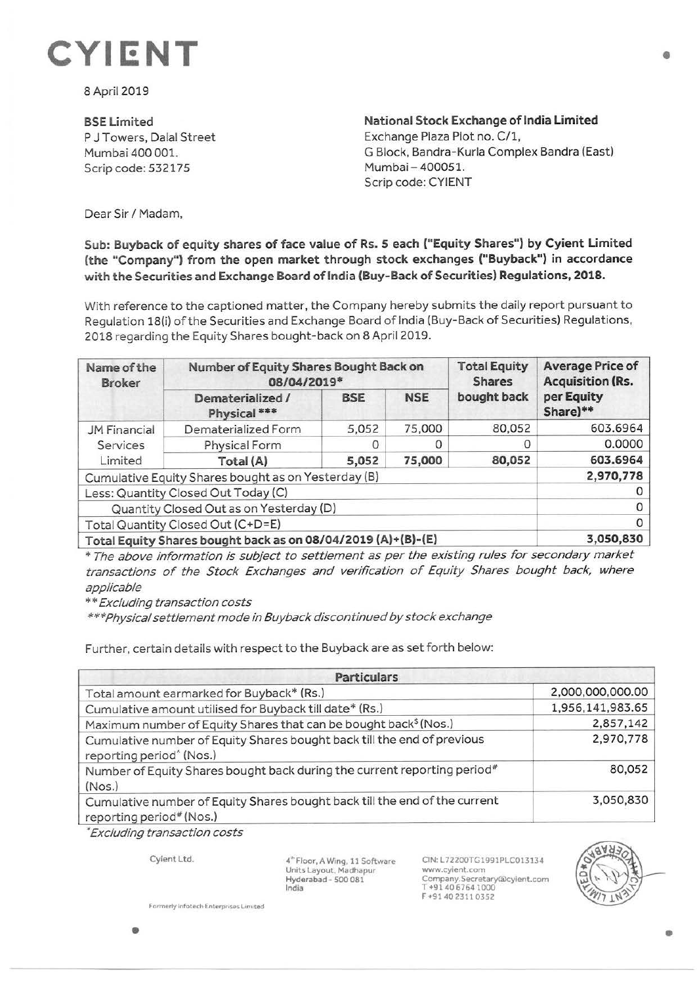## **CYIENT**

8April 2019

**BSELimited**  P J Towers, Dalal Street Mumbai 400 001. Scrip code: 532175

**National Stock Exchange of India Limited**  Exchange Plaza Plot no. C/1, G Block, Bandra-Kurla Complex Bandra (East) Mumbai- 400051. Scrip code: CYIENT

Dear Sir/ Madam,

## **Sub: Buyback of equity shares of face value of Rs. 5 each ("Equity Shares") by Cyient Limited (the "Company") from the open market through stock exchanges ("Buyback") in accordance with the Securities and Exchange Board of India (Buy- Back of Securities) Regulations, 2018.**

With reference to the captioned matter, the Company hereby submits the daily report pursuant to Regulation 18(i) of the Securities and Exchange Board of India (Buy-Back of Securities) Regulations, 2018 regarding the Equity Shares bought-back on 8 April 2019.

| Name of the<br><b>Broker</b>                                 | Number of Equity Shares Bought Back on<br>08/04/2019* |            |            | <b>Total Equity</b><br><b>Shares</b> | <b>Average Price of</b><br><b>Acquisition (Rs.</b> |
|--------------------------------------------------------------|-------------------------------------------------------|------------|------------|--------------------------------------|----------------------------------------------------|
|                                                              | Dematerialized /<br>Physical ***                      | <b>BSE</b> | <b>NSE</b> | bought back                          | per Equity<br>Share)**                             |
| JM Financial                                                 | Dematerialized Form                                   | 5,052      | 75,000     | 80,052                               | 603.6964                                           |
| Services                                                     | Physical Form                                         | 0          | Ο          | 0                                    | 0.0000                                             |
| Limited                                                      | Total (A)                                             | 5,052      | 75,000     | 80,052                               | 603.6964                                           |
| Cumulative Equity Shares bought as on Yesterday (B)          |                                                       |            |            |                                      | 2,970,778                                          |
| Less: Quantity Closed Out Today (C)                          |                                                       |            |            |                                      |                                                    |
| Quantity Closed Out as on Yesterday (D)                      |                                                       |            |            |                                      | Ω                                                  |
| Total Quantity Closed Out (C+D=E)                            |                                                       |            |            |                                      | 0                                                  |
| Total Equity Shares bought back as on 08/04/2019 (A)+(B)-(E) |                                                       |            |            |                                      | 3,050,830                                          |

\* The above information is subject to settlement as per the existing rules for secondary market transactions of the Stock Exchanges and verification of Equity Shares bought back, where applicable

\*\* Excluding transaction costs

\*\*\*Physical settlement mode in Buyback discontinued by stock exchange

Further, certain details with respect to the Buyback are as set forth below:

| <b>Particulars</b>                                                                                              |                  |  |  |  |
|-----------------------------------------------------------------------------------------------------------------|------------------|--|--|--|
| Total amount earmarked for Buyback* (Rs.)                                                                       | 2,000,000,000.00 |  |  |  |
| Cumulative amount utilised for Buyback till date* (Rs.)                                                         | 1,956,141,983.65 |  |  |  |
| Maximum number of Equity Shares that can be bought back <sup>\$</sup> (Nos.)                                    | 2,857,142        |  |  |  |
| Cumulative number of Equity Shares bought back till the end of previous<br>reporting period <sup>^</sup> (Nos.) | 2,970,778        |  |  |  |
| Number of Equity Shares bought back during the current reporting period#<br>(Nos.)                              | 80,052           |  |  |  |
| Cumulative number of Equity Shares bought back till the end of the current<br>reporting period# (Nos.)          | 3,050,830        |  |  |  |

; Excluding transaction costs

Cyient Ltd.

4~ Floor, A Wing. 11 Software Units Layout, Madhapur Hyderabad• **500 081 India** 

CIN: L72200TG1991PLC013134 www.cyient.com Company.Secretary®cylent.com T +91406764 1000 F +9140 23110352



**Formerly infotech Enterprises Limited**